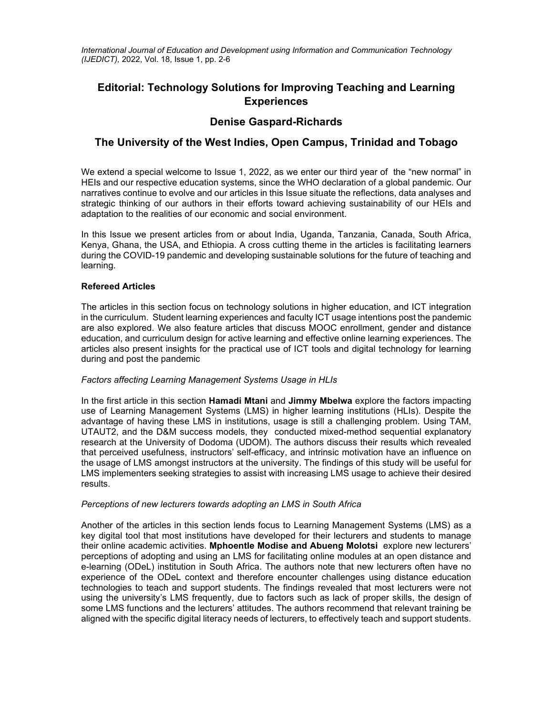*International Journal of Education and Development using Information and Communication Technology (IJEDICT),* 2022, Vol. 18, Issue 1, pp. 2-6

# **Editorial: Technology Solutions for Improving Teaching and Learning Experiences**

# **Denise Gaspard-Richards**

# **The University of the West Indies, Open Campus, Trinidad and Tobago**

We extend a special welcome to Issue 1, 2022, as we enter our third year of the "new normal" in HEIs and our respective education systems, since the WHO declaration of a global pandemic. Our narratives continue to evolve and our articles in this Issue situate the reflections, data analyses and strategic thinking of our authors in their efforts toward achieving sustainability of our HEIs and adaptation to the realities of our economic and social environment.

In this Issue we present articles from or about India, Uganda, Tanzania, Canada, South Africa, Kenya, Ghana, the USA, and Ethiopia. A cross cutting theme in the articles is facilitating learners during the COVID-19 pandemic and developing sustainable solutions for the future of teaching and learning.

## **Refereed Articles**

The articles in this section focus on technology solutions in higher education, and ICT integration in the curriculum. Student learning experiences and faculty ICT usage intentions post the pandemic are also explored. We also feature articles that discuss MOOC enrollment, gender and distance education, and curriculum design for active learning and effective online learning experiences. The articles also present insights for the practical use of ICT tools and digital technology for learning during and post the pandemic

## *Factors affecting Learning Management Systems Usage in HLIs*

In the first article in this section **Hamadi Mtani** and **Jimmy Mbelwa** explore the factors impacting use of Learning Management Systems (LMS) in higher learning institutions (HLIs). Despite the advantage of having these LMS in institutions, usage is still a challenging problem. Using TAM, UTAUT2, and the D&M success models, they conducted mixed-method sequential explanatory research at the University of Dodoma (UDOM). The authors discuss their results which revealed that perceived usefulness, instructors' self-efficacy, and intrinsic motivation have an influence on the usage of LMS amongst instructors at the university. The findings of this study will be useful for LMS implementers seeking strategies to assist with increasing LMS usage to achieve their desired results.

## *Perceptions of new lecturers towards adopting an LMS in South Africa*

Another of the articles in this section lends focus to Learning Management Systems (LMS) as a key digital tool that most institutions have developed for their lecturers and students to manage their online academic activities. **Mphoentle Modise and Abueng Molotsi** explore new lecturers' perceptions of adopting and using an LMS for facilitating online modules at an open distance and e-learning (ODeL) institution in South Africa. The authors note that new lecturers often have no experience of the ODeL context and therefore encounter challenges using distance education technologies to teach and support students. The findings revealed that most lecturers were not using the university's LMS frequently, due to factors such as lack of proper skills, the design of some LMS functions and the lecturers' attitudes. The authors recommend that relevant training be aligned with the specific digital literacy needs of lecturers, to effectively teach and support students.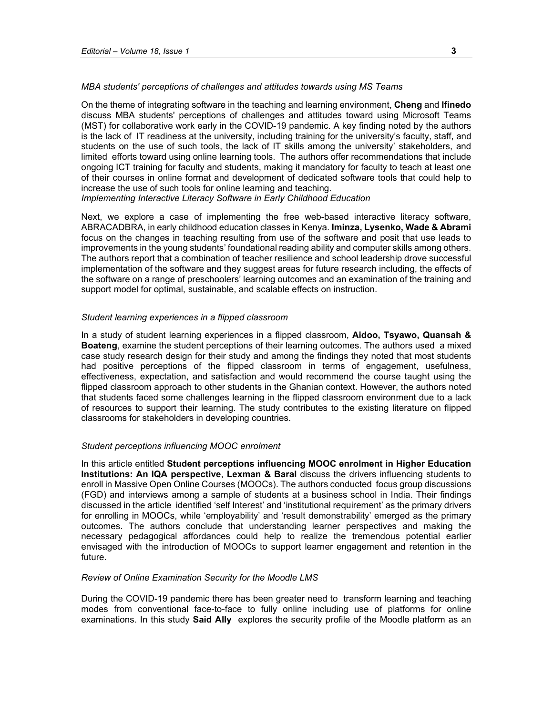#### *MBA students' perceptions of challenges and attitudes towards using MS Teams*

On the theme of integrating software in the teaching and learning environment, **Cheng** and **Ifinedo**  discuss MBA students' perceptions of challenges and attitudes toward using Microsoft Teams (MST) for collaborative work early in the COVID-19 pandemic. A key finding noted by the authors is the lack of IT readiness at the university, including training for the university's faculty, staff, and students on the use of such tools, the lack of IT skills among the university' stakeholders, and limited efforts toward using online learning tools. The authors offer recommendations that include ongoing ICT training for faculty and students, making it mandatory for faculty to teach at least one of their courses in online format and development of dedicated software tools that could help to increase the use of such tools for online learning and teaching.

*Implementing Interactive Literacy Software in Early Childhood Education* 

Next, we explore a case of implementing the free web-based interactive literacy software, ABRACADBRA, in early childhood education classes in Kenya. **Iminza, Lysenko, Wade & Abrami** focus on the changes in teaching resulting from use of the software and posit that use leads to improvements in the young students' foundational reading ability and computer skills among others. The authors report that a combination of teacher resilience and school leadership drove successful implementation of the software and they suggest areas for future research including, the effects of the software on a range of preschoolers' learning outcomes and an examination of the training and support model for optimal, sustainable, and scalable effects on instruction.

### *Student learning experiences in a flipped classroom*

In a study of student learning experiences in a flipped classroom, **Aidoo, Tsyawo, Quansah & Boateng**, examine the student perceptions of their learning outcomes. The authors used a mixed case study research design for their study and among the findings they noted that most students had positive perceptions of the flipped classroom in terms of engagement, usefulness, effectiveness, expectation, and satisfaction and would recommend the course taught using the flipped classroom approach to other students in the Ghanian context. However, the authors noted that students faced some challenges learning in the flipped classroom environment due to a lack of resources to support their learning. The study contributes to the existing literature on flipped classrooms for stakeholders in developing countries.

### *Student perceptions influencing MOOC enrolment*

In this article entitled **Student perceptions influencing MOOC enrolment in Higher Education Institutions: An IQA perspective**, **Lexman & Baral** discuss the drivers influencing students to enroll in Massive Open Online Courses (MOOCs). The authors conducted focus group discussions (FGD) and interviews among a sample of students at a business school in India. Their findings discussed in the article identified 'self Interest' and 'institutional requirement' as the primary drivers for enrolling in MOOCs, while 'employability' and 'result demonstrability' emerged as the primary outcomes. The authors conclude that understanding learner perspectives and making the necessary pedagogical affordances could help to realize the tremendous potential earlier envisaged with the introduction of MOOCs to support learner engagement and retention in the future.

#### *Review of Online Examination Security for the Moodle LMS*

During the COVID-19 pandemic there has been greater need to transform learning and teaching modes from conventional face-to-face to fully online including use of platforms for online examinations. In this study **Said Ally** explores the security profile of the Moodle platform as an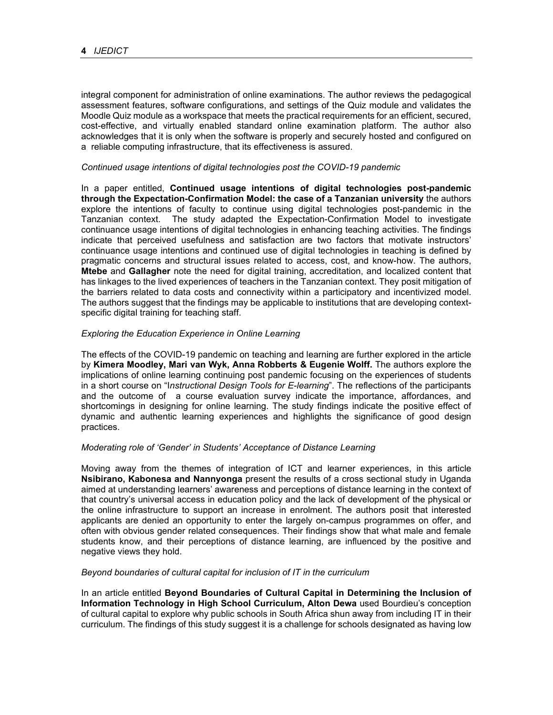integral component for administration of online examinations. The author reviews the pedagogical assessment features, software configurations, and settings of the Quiz module and validates the Moodle Quiz module as a workspace that meets the practical requirements for an efficient, secured, cost-effective, and virtually enabled standard online examination platform. The author also acknowledges that it is only when the software is properly and securely hosted and configured on a reliable computing infrastructure, that its effectiveness is assured.

### *Continued usage intentions of digital technologies post the COVID-19 pandemic*

In a paper entitled, **Continued usage intentions of digital technologies post-pandemic through the Expectation-Confirmation Model: the case of a Tanzanian university** the authors explore the intentions of faculty to continue using digital technologies post-pandemic in the Tanzanian context. The study adapted the Expectation-Confirmation Model to investigate continuance usage intentions of digital technologies in enhancing teaching activities. The findings indicate that perceived usefulness and satisfaction are two factors that motivate instructors' continuance usage intentions and continued use of digital technologies in teaching is defined by pragmatic concerns and structural issues related to access, cost, and know-how. The authors, **Mtebe** and **Gallagher** note the need for digital training, accreditation, and localized content that has linkages to the lived experiences of teachers in the Tanzanian context. They posit mitigation of the barriers related to data costs and connectivity within a participatory and incentivized model. The authors suggest that the findings may be applicable to institutions that are developing contextspecific digital training for teaching staff.

### *Exploring the Education Experience in Online Learning*

The effects of the COVID-19 pandemic on teaching and learning are further explored in the article by **Kimera Moodley, Mari van Wyk, Anna Robberts & Eugenie Wolff.** The authors explore the implications of online learning continuing post pandemic focusing on the experiences of students in a short course on "I*nstructional Design Tools for E-learning*". The reflections of the participants and the outcome of a course evaluation survey indicate the importance, affordances, and shortcomings in designing for online learning. The study findings indicate the positive effect of dynamic and authentic learning experiences and highlights the significance of good design practices.

#### *Moderating role of 'Gender' in Students' Acceptance of Distance Learning*

Moving away from the themes of integration of ICT and learner experiences, in this article **Nsibirano, Kabonesa and Nannyonga** present the results of a cross sectional study in Uganda aimed at understanding learners' awareness and perceptions of distance learning in the context of that country's universal access in education policy and the lack of development of the physical or the online infrastructure to support an increase in enrolment. The authors posit that interested applicants are denied an opportunity to enter the largely on-campus programmes on offer, and often with obvious gender related consequences. Their findings show that what male and female students know, and their perceptions of distance learning, are influenced by the positive and negative views they hold.

#### *Beyond boundaries of cultural capital for inclusion of IT in the curriculum*

In an article entitled **Beyond Boundaries of Cultural Capital in Determining the Inclusion of Information Technology in High School Curriculum, Alton Dewa** used Bourdieu's conception of cultural capital to explore why public schools in South Africa shun away from including IT in their curriculum. The findings of this study suggest it is a challenge for schools designated as having low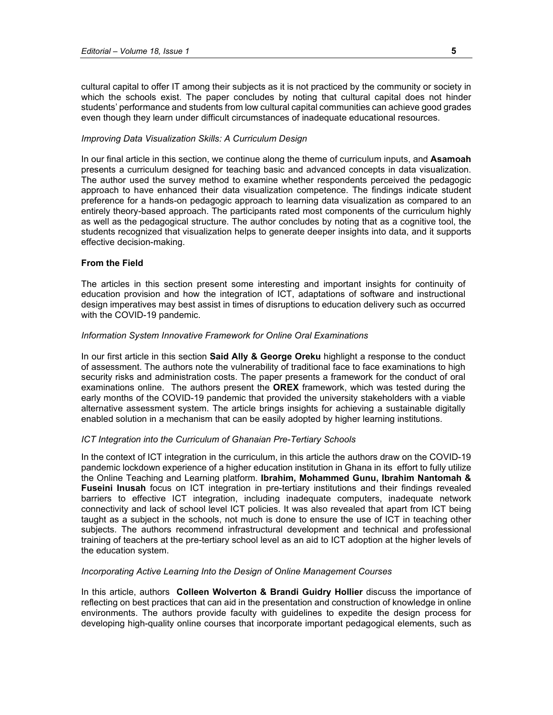cultural capital to offer IT among their subjects as it is not practiced by the community or society in which the schools exist. The paper concludes by noting that cultural capital does not hinder students' performance and students from low cultural capital communities can achieve good grades even though they learn under difficult circumstances of inadequate educational resources.

#### *Improving Data Visualization Skills: A Curriculum Design*

In our final article in this section, we continue along the theme of curriculum inputs, and **Asamoah** presents a curriculum designed for teaching basic and advanced concepts in data visualization. The author used the survey method to examine whether respondents perceived the pedagogic approach to have enhanced their data visualization competence. The findings indicate student preference for a hands-on pedagogic approach to learning data visualization as compared to an entirely theory-based approach. The participants rated most components of the curriculum highly as well as the pedagogical structure. The author concludes by noting that as a cognitive tool, the students recognized that visualization helps to generate deeper insights into data, and it supports effective decision-making.

## **From the Field**

The articles in this section present some interesting and important insights for continuity of education provision and how the integration of ICT, adaptations of software and instructional design imperatives may best assist in times of disruptions to education delivery such as occurred with the COVID-19 pandemic.

#### *Information System Innovative Framework for Online Oral Examinations*

In our first article in this section **Said Ally & George Oreku** highlight a response to the conduct of assessment. The authors note the vulnerability of traditional face to face examinations to high security risks and administration costs. The paper presents a framework for the conduct of oral examinations online. The authors present the **OREX** framework, which was tested during the early months of the COVID-19 pandemic that provided the university stakeholders with a viable alternative assessment system. The article brings insights for achieving a sustainable digitally enabled solution in a mechanism that can be easily adopted by higher learning institutions.

#### *ICT Integration into the Curriculum of Ghanaian Pre-Tertiary Schools*

In the context of ICT integration in the curriculum, in this article the authors draw on the COVID-19 pandemic lockdown experience of a higher education institution in Ghana in its effort to fully utilize the Online Teaching and Learning platform. **Ibrahim, Mohammed Gunu, Ibrahim Nantomah & Fuseini Inusah** focus on ICT integration in pre-tertiary institutions and their findings revealed barriers to effective ICT integration, including inadequate computers, inadequate network connectivity and lack of school level ICT policies. It was also revealed that apart from ICT being taught as a subject in the schools, not much is done to ensure the use of ICT in teaching other subjects. The authors recommend infrastructural development and technical and professional training of teachers at the pre-tertiary school level as an aid to ICT adoption at the higher levels of the education system.

## *Incorporating Active Learning Into the Design of Online Management Courses*

In this article, authors **Colleen Wolverton & Brandi Guidry Hollier** discuss the importance of reflecting on best practices that can aid in the presentation and construction of knowledge in online environments. The authors provide faculty with guidelines to expedite the design process for developing high-quality online courses that incorporate important pedagogical elements, such as